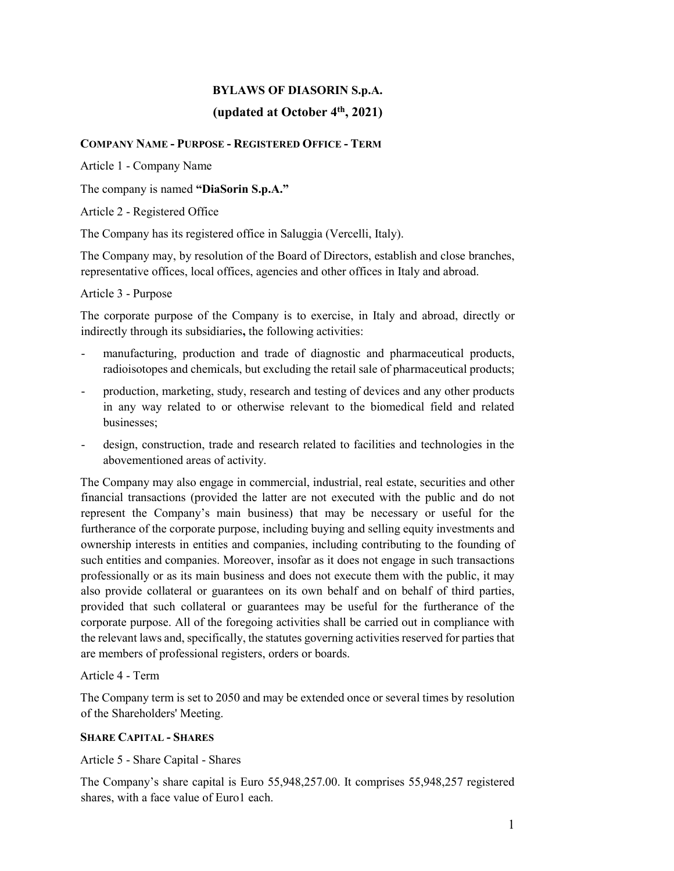# **BYLAWS OF DIASORIN S.p.A.**

# **(updated at October 4th, 2021)**

## **COMPANY NAME - PURPOSE - REGISTERED OFFICE - TERM**

Article 1 - Company Name

The company is named **"DiaSorin S.p.A."**

Article 2 - Registered Office

The Company has its registered office in Saluggia (Vercelli, Italy).

The Company may, by resolution of the Board of Directors, establish and close branches, representative offices, local offices, agencies and other offices in Italy and abroad.

Article 3 - Purpose

The corporate purpose of the Company is to exercise, in Italy and abroad, directly or indirectly through its subsidiaries**,** the following activities:

- manufacturing, production and trade of diagnostic and pharmaceutical products, radioisotopes and chemicals, but excluding the retail sale of pharmaceutical products;
- production, marketing, study, research and testing of devices and any other products in any way related to or otherwise relevant to the biomedical field and related businesses;
- design, construction, trade and research related to facilities and technologies in the abovementioned areas of activity.

The Company may also engage in commercial, industrial, real estate, securities and other financial transactions (provided the latter are not executed with the public and do not represent the Company's main business) that may be necessary or useful for the furtherance of the corporate purpose, including buying and selling equity investments and ownership interests in entities and companies, including contributing to the founding of such entities and companies. Moreover, insofar as it does not engage in such transactions professionally or as its main business and does not execute them with the public, it may also provide collateral or guarantees on its own behalf and on behalf of third parties, provided that such collateral or guarantees may be useful for the furtherance of the corporate purpose. All of the foregoing activities shall be carried out in compliance with the relevant laws and, specifically, the statutes governing activities reserved for parties that are members of professional registers, orders or boards.

Article 4 - Term

The Company term is set to 2050 and may be extended once or several times by resolution of the Shareholders' Meeting.

## **SHARE CAPITAL - SHARES**

Article 5 - Share Capital - Shares

The Company's share capital is Euro 55,948,257.00. It comprises 55,948,257 registered shares, with a face value of Euro1 each.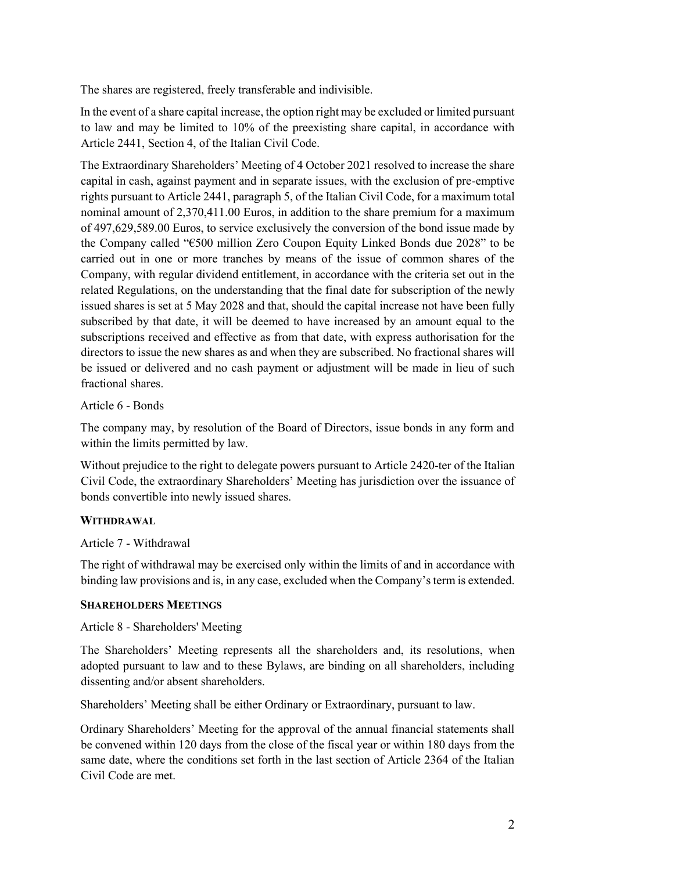The shares are registered, freely transferable and indivisible.

In the event of a share capital increase, the option right may be excluded or limited pursuant to law and may be limited to 10% of the preexisting share capital, in accordance with Article 2441, Section 4, of the Italian Civil Code.

The Extraordinary Shareholders' Meeting of 4 October 2021 resolved to increase the share capital in cash, against payment and in separate issues, with the exclusion of pre-emptive rights pursuant to Article 2441, paragraph 5, of the Italian Civil Code, for a maximum total nominal amount of 2,370,411.00 Euros, in addition to the share premium for a maximum of 497,629,589.00 Euros, to service exclusively the conversion of the bond issue made by the Company called "€500 million Zero Coupon Equity Linked Bonds due 2028" to be carried out in one or more tranches by means of the issue of common shares of the Company, with regular dividend entitlement, in accordance with the criteria set out in the related Regulations, on the understanding that the final date for subscription of the newly issued shares is set at 5 May 2028 and that, should the capital increase not have been fully subscribed by that date, it will be deemed to have increased by an amount equal to the subscriptions received and effective as from that date, with express authorisation for the directors to issue the new shares as and when they are subscribed. No fractional shares will be issued or delivered and no cash payment or adjustment will be made in lieu of such fractional shares.

#### Article 6 - Bonds

The company may, by resolution of the Board of Directors, issue bonds in any form and within the limits permitted by law.

Without prejudice to the right to delegate powers pursuant to Article 2420-ter of the Italian Civil Code, the extraordinary Shareholders' Meeting has jurisdiction over the issuance of bonds convertible into newly issued shares.

#### **WITHDRAWAL**

#### Article 7 - Withdrawal

The right of withdrawal may be exercised only within the limits of and in accordance with binding law provisions and is, in any case, excluded when the Company's term is extended.

#### **SHAREHOLDERS MEETINGS**

#### Article 8 - Shareholders' Meeting

The Shareholders' Meeting represents all the shareholders and, its resolutions, when adopted pursuant to law and to these Bylaws, are binding on all shareholders, including dissenting and/or absent shareholders.

Shareholders' Meeting shall be either Ordinary or Extraordinary, pursuant to law.

Ordinary Shareholders' Meeting for the approval of the annual financial statements shall be convened within 120 days from the close of the fiscal year or within 180 days from the same date, where the conditions set forth in the last section of Article 2364 of the Italian Civil Code are met.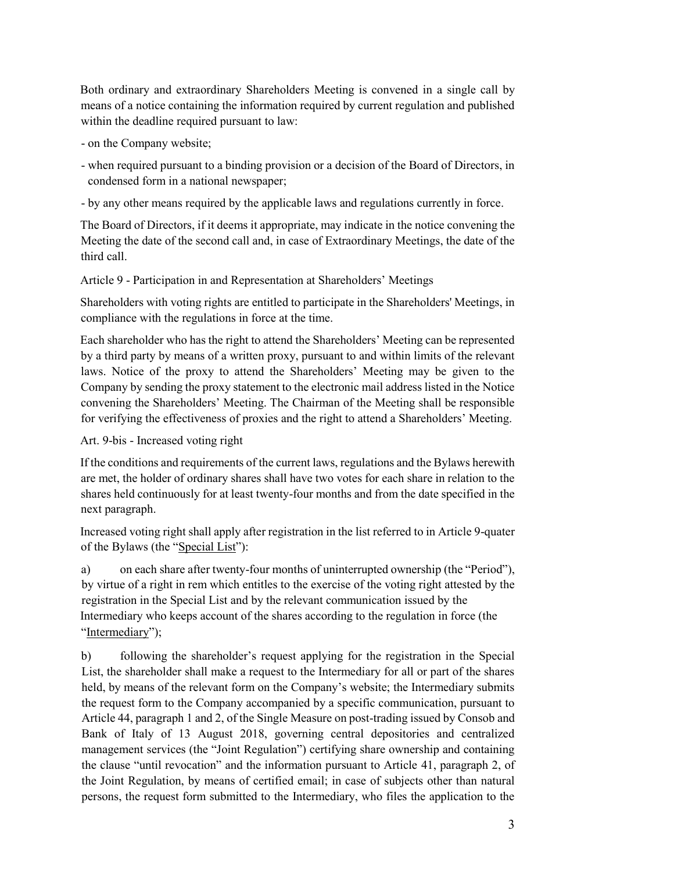Both ordinary and extraordinary Shareholders Meeting is convened in a single call by means of a notice containing the information required by current regulation and published within the deadline required pursuant to law:

- on the Company website;
- when required pursuant to a binding provision or a decision of the Board of Directors, in condensed form in a national newspaper;
- by any other means required by the applicable laws and regulations currently in force.

The Board of Directors, if it deems it appropriate, may indicate in the notice convening the Meeting the date of the second call and, in case of Extraordinary Meetings, the date of the third call.

Article 9 - Participation in and Representation at Shareholders' Meetings

Shareholders with voting rights are entitled to participate in the Shareholders' Meetings, in compliance with the regulations in force at the time.

Each shareholder who has the right to attend the Shareholders' Meeting can be represented by a third party by means of a written proxy, pursuant to and within limits of the relevant laws. Notice of the proxy to attend the Shareholders' Meeting may be given to the Company by sending the proxy statement to the electronic mail address listed in the Notice convening the Shareholders' Meeting. The Chairman of the Meeting shall be responsible for verifying the effectiveness of proxies and the right to attend a Shareholders' Meeting.

Art. 9-bis - Increased voting right

If the conditions and requirements of the current laws, regulations and the Bylaws herewith are met, the holder of ordinary shares shall have two votes for each share in relation to the shares held continuously for at least twenty-four months and from the date specified in the next paragraph.

Increased voting right shall apply after registration in the list referred to in Article 9-quater of the Bylaws (the "Special List"):

a) on each share after twenty-four months of uninterrupted ownership (the "Period"), by virtue of a right in rem which entitles to the exercise of the voting right attested by the registration in the Special List and by the relevant communication issued by the Intermediary who keeps account of the shares according to the regulation in force (the "Intermediary");

b) following the shareholder's request applying for the registration in the Special List, the shareholder shall make a request to the Intermediary for all or part of the shares held, by means of the relevant form on the Company's website; the Intermediary submits the request form to the Company accompanied by a specific communication, pursuant to Article 44, paragraph 1 and 2, of the Single Measure on post-trading issued by Consob and Bank of Italy of 13 August 2018, governing central depositories and centralized management services (the "Joint Regulation") certifying share ownership and containing the clause "until revocation" and the information pursuant to Article 41, paragraph 2, of the Joint Regulation, by means of certified email; in case of subjects other than natural persons, the request form submitted to the Intermediary, who files the application to the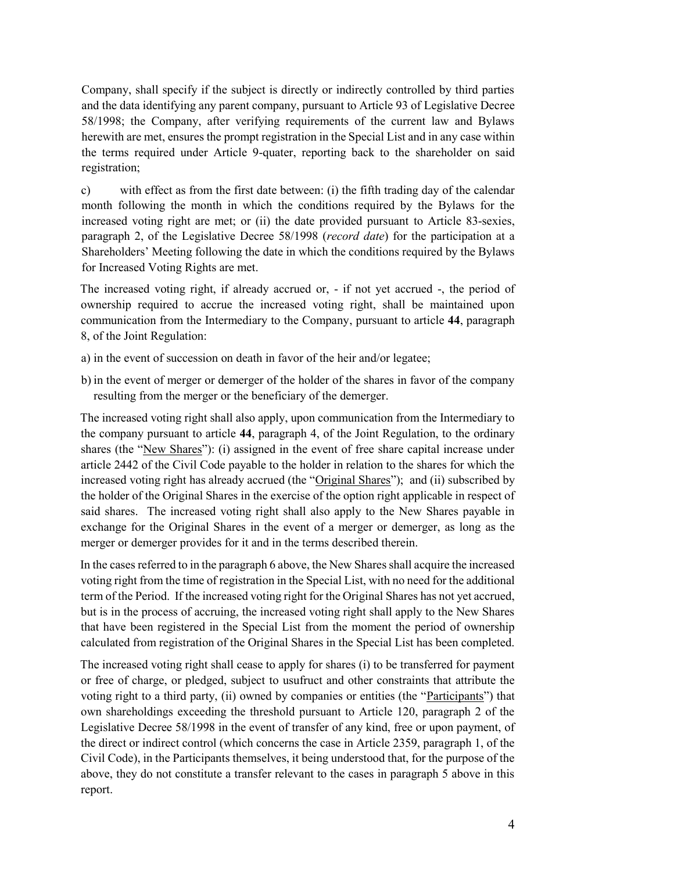Company, shall specify if the subject is directly or indirectly controlled by third parties and the data identifying any parent company, pursuant to Article 93 of Legislative Decree 58/1998; the Company, after verifying requirements of the current law and Bylaws herewith are met, ensures the prompt registration in the Special List and in any case within the terms required under Article 9-quater, reporting back to the shareholder on said registration;

c) with effect as from the first date between: (i) the fifth trading day of the calendar month following the month in which the conditions required by the Bylaws for the increased voting right are met; or (ii) the date provided pursuant to Article 83-sexies, paragraph 2, of the Legislative Decree 58/1998 (*record date*) for the participation at a Shareholders' Meeting following the date in which the conditions required by the Bylaws for Increased Voting Rights are met.

The increased voting right, if already accrued or, - if not yet accrued -, the period of ownership required to accrue the increased voting right, shall be maintained upon communication from the Intermediary to the Company, pursuant to article **44**, paragraph 8, of the Joint Regulation:

- a) in the event of succession on death in favor of the heir and/or legatee;
- b) in the event of merger or demerger of the holder of the shares in favor of the company resulting from the merger or the beneficiary of the demerger.

The increased voting right shall also apply, upon communication from the Intermediary to the company pursuant to article **44**, paragraph 4, of the Joint Regulation, to the ordinary shares (the "New Shares"): (i) assigned in the event of free share capital increase under article 2442 of the Civil Code payable to the holder in relation to the shares for which the increased voting right has already accrued (the "Original Shares"); and (ii) subscribed by the holder of the Original Shares in the exercise of the option right applicable in respect of said shares. The increased voting right shall also apply to the New Shares payable in exchange for the Original Shares in the event of a merger or demerger, as long as the merger or demerger provides for it and in the terms described therein.

In the cases referred to in the paragraph 6 above, the New Shares shall acquire the increased voting right from the time of registration in the Special List, with no need for the additional term of the Period. If the increased voting right for the Original Shares has not yet accrued, but is in the process of accruing, the increased voting right shall apply to the New Shares that have been registered in the Special List from the moment the period of ownership calculated from registration of the Original Shares in the Special List has been completed.

The increased voting right shall cease to apply for shares (i) to be transferred for payment or free of charge, or pledged, subject to usufruct and other constraints that attribute the voting right to a third party, (ii) owned by companies or entities (the "Participants") that own shareholdings exceeding the threshold pursuant to Article 120, paragraph 2 of the Legislative Decree 58/1998 in the event of transfer of any kind, free or upon payment, of the direct or indirect control (which concerns the case in Article 2359, paragraph 1, of the Civil Code), in the Participants themselves, it being understood that, for the purpose of the above, they do not constitute a transfer relevant to the cases in paragraph 5 above in this report.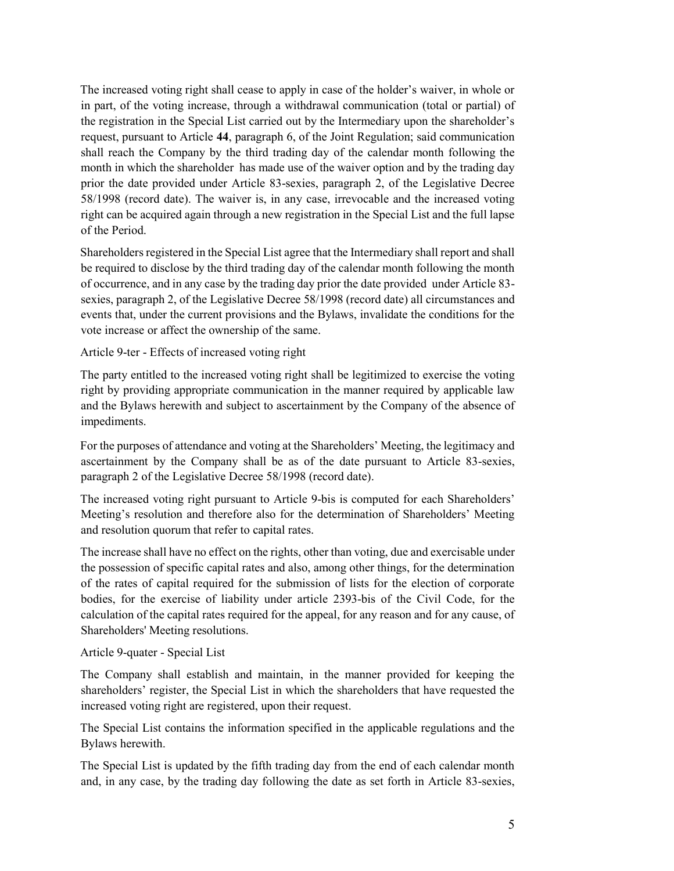The increased voting right shall cease to apply in case of the holder's waiver, in whole or in part, of the voting increase, through a withdrawal communication (total or partial) of the registration in the Special List carried out by the Intermediary upon the shareholder's request, pursuant to Article **44**, paragraph 6, of the Joint Regulation; said communication shall reach the Company by the third trading day of the calendar month following the month in which the shareholder has made use of the waiver option and by the trading day prior the date provided under Article 83-sexies, paragraph 2, of the Legislative Decree 58/1998 (record date). The waiver is, in any case, irrevocable and the increased voting right can be acquired again through a new registration in the Special List and the full lapse of the Period.

Shareholders registered in the Special List agree that the Intermediary shall report and shall be required to disclose by the third trading day of the calendar month following the month of occurrence, and in any case by the trading day prior the date provided under Article 83 sexies, paragraph 2, of the Legislative Decree 58/1998 (record date) all circumstances and events that, under the current provisions and the Bylaws, invalidate the conditions for the vote increase or affect the ownership of the same.

#### Article 9-ter - Effects of increased voting right

The party entitled to the increased voting right shall be legitimized to exercise the voting right by providing appropriate communication in the manner required by applicable law and the Bylaws herewith and subject to ascertainment by the Company of the absence of impediments.

For the purposes of attendance and voting at the Shareholders' Meeting, the legitimacy and ascertainment by the Company shall be as of the date pursuant to Article 83-sexies, paragraph 2 of the Legislative Decree 58/1998 (record date).

The increased voting right pursuant to Article 9-bis is computed for each Shareholders' Meeting's resolution and therefore also for the determination of Shareholders' Meeting and resolution quorum that refer to capital rates.

The increase shall have no effect on the rights, other than voting, due and exercisable under the possession of specific capital rates and also, among other things, for the determination of the rates of capital required for the submission of lists for the election of corporate bodies, for the exercise of liability under article 2393-bis of the Civil Code, for the calculation of the capital rates required for the appeal, for any reason and for any cause, of Shareholders' Meeting resolutions.

#### Article 9-quater - Special List

The Company shall establish and maintain, in the manner provided for keeping the shareholders' register, the Special List in which the shareholders that have requested the increased voting right are registered, upon their request.

The Special List contains the information specified in the applicable regulations and the Bylaws herewith.

The Special List is updated by the fifth trading day from the end of each calendar month and, in any case, by the trading day following the date as set forth in Article 83-sexies,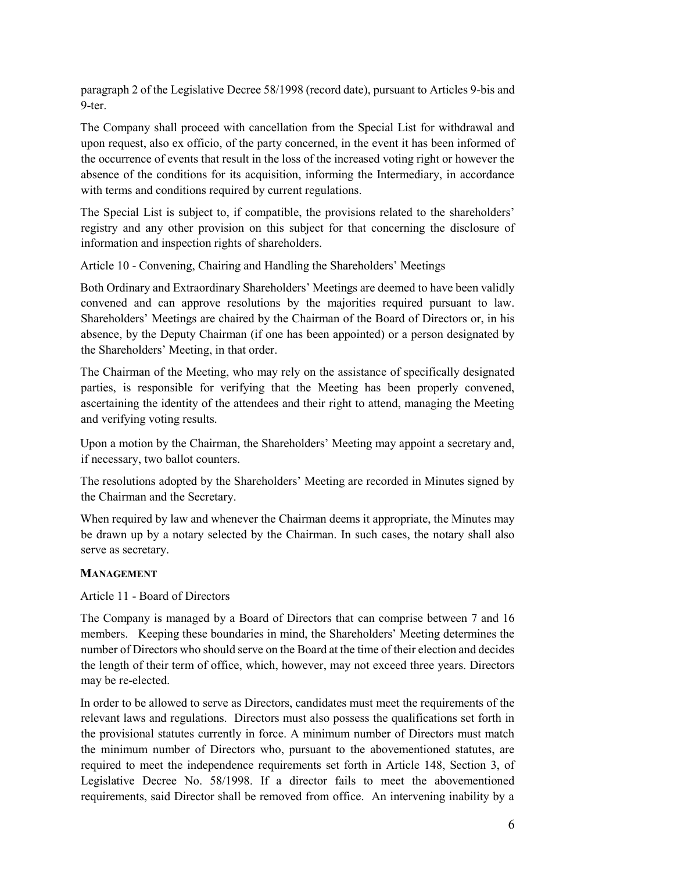paragraph 2 of the Legislative Decree 58/1998 (record date), pursuant to Articles 9-bis and 9-ter.

The Company shall proceed with cancellation from the Special List for withdrawal and upon request, also ex officio, of the party concerned, in the event it has been informed of the occurrence of events that result in the loss of the increased voting right or however the absence of the conditions for its acquisition, informing the Intermediary, in accordance with terms and conditions required by current regulations.

The Special List is subject to, if compatible, the provisions related to the shareholders' registry and any other provision on this subject for that concerning the disclosure of information and inspection rights of shareholders.

Article 10 - Convening, Chairing and Handling the Shareholders' Meetings

Both Ordinary and Extraordinary Shareholders' Meetings are deemed to have been validly convened and can approve resolutions by the majorities required pursuant to law. Shareholders' Meetings are chaired by the Chairman of the Board of Directors or, in his absence, by the Deputy Chairman (if one has been appointed) or a person designated by the Shareholders' Meeting, in that order.

The Chairman of the Meeting, who may rely on the assistance of specifically designated parties, is responsible for verifying that the Meeting has been properly convened, ascertaining the identity of the attendees and their right to attend, managing the Meeting and verifying voting results.

Upon a motion by the Chairman, the Shareholders' Meeting may appoint a secretary and, if necessary, two ballot counters.

The resolutions adopted by the Shareholders' Meeting are recorded in Minutes signed by the Chairman and the Secretary.

When required by law and whenever the Chairman deems it appropriate, the Minutes may be drawn up by a notary selected by the Chairman. In such cases, the notary shall also serve as secretary.

#### **MANAGEMENT**

Article 11 - Board of Directors

The Company is managed by a Board of Directors that can comprise between 7 and 16 members. Keeping these boundaries in mind, the Shareholders' Meeting determines the number of Directors who should serve on the Board at the time of their election and decides the length of their term of office, which, however, may not exceed three years. Directors may be re-elected.

In order to be allowed to serve as Directors, candidates must meet the requirements of the relevant laws and regulations. Directors must also possess the qualifications set forth in the provisional statutes currently in force. A minimum number of Directors must match the minimum number of Directors who, pursuant to the abovementioned statutes, are required to meet the independence requirements set forth in Article 148, Section 3, of Legislative Decree No. 58/1998. If a director fails to meet the abovementioned requirements, said Director shall be removed from office. An intervening inability by a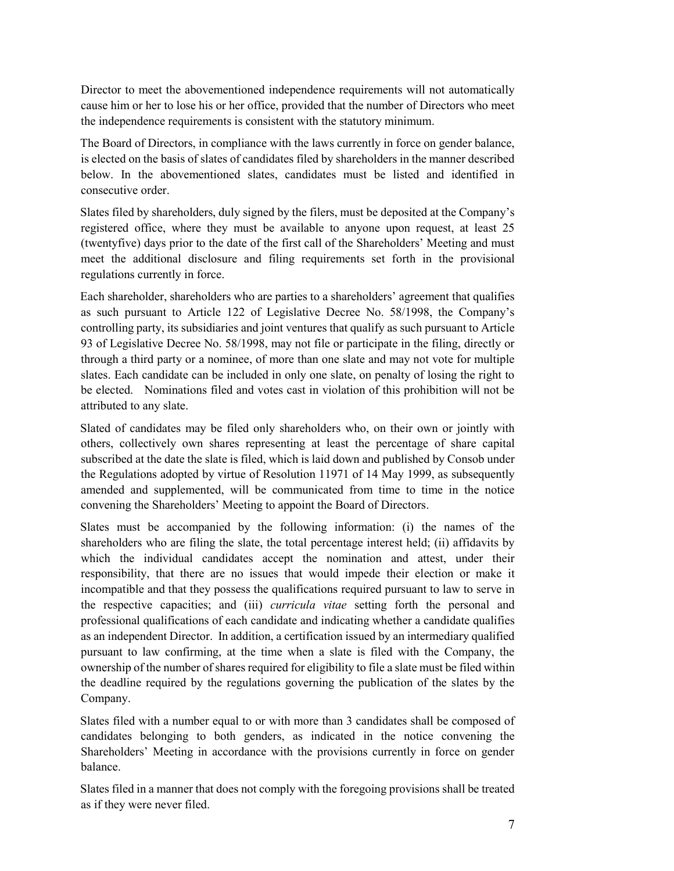Director to meet the abovementioned independence requirements will not automatically cause him or her to lose his or her office, provided that the number of Directors who meet the independence requirements is consistent with the statutory minimum.

The Board of Directors, in compliance with the laws currently in force on gender balance, is elected on the basis of slates of candidates filed by shareholders in the manner described below. In the abovementioned slates, candidates must be listed and identified in consecutive order.

Slates filed by shareholders, duly signed by the filers, must be deposited at the Company's registered office, where they must be available to anyone upon request, at least 25 (twentyfive) days prior to the date of the first call of the Shareholders' Meeting and must meet the additional disclosure and filing requirements set forth in the provisional regulations currently in force.

Each shareholder, shareholders who are parties to a shareholders' agreement that qualifies as such pursuant to Article 122 of Legislative Decree No. 58/1998, the Company's controlling party, its subsidiaries and joint ventures that qualify as such pursuant to Article 93 of Legislative Decree No. 58/1998, may not file or participate in the filing, directly or through a third party or a nominee, of more than one slate and may not vote for multiple slates. Each candidate can be included in only one slate, on penalty of losing the right to be elected. Nominations filed and votes cast in violation of this prohibition will not be attributed to any slate.

Slated of candidates may be filed only shareholders who, on their own or jointly with others, collectively own shares representing at least the percentage of share capital subscribed at the date the slate is filed, which is laid down and published by Consob under the Regulations adopted by virtue of Resolution 11971 of 14 May 1999, as subsequently amended and supplemented, will be communicated from time to time in the notice convening the Shareholders' Meeting to appoint the Board of Directors.

Slates must be accompanied by the following information: (i) the names of the shareholders who are filing the slate, the total percentage interest held; (ii) affidavits by which the individual candidates accept the nomination and attest, under their responsibility, that there are no issues that would impede their election or make it incompatible and that they possess the qualifications required pursuant to law to serve in the respective capacities; and (iii) *curricula vitae* setting forth the personal and professional qualifications of each candidate and indicating whether a candidate qualifies as an independent Director. In addition, a certification issued by an intermediary qualified pursuant to law confirming, at the time when a slate is filed with the Company, the ownership of the number of shares required for eligibility to file a slate must be filed within the deadline required by the regulations governing the publication of the slates by the Company.

Slates filed with a number equal to or with more than 3 candidates shall be composed of candidates belonging to both genders, as indicated in the notice convening the Shareholders' Meeting in accordance with the provisions currently in force on gender balance.

Slates filed in a manner that does not comply with the foregoing provisions shall be treated as if they were never filed.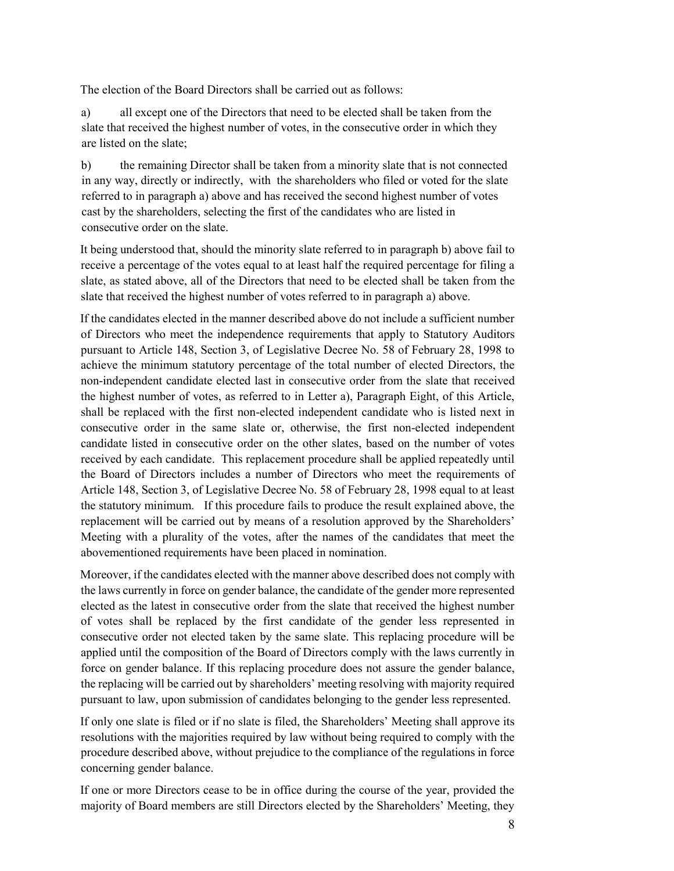The election of the Board Directors shall be carried out as follows:

a) all except one of the Directors that need to be elected shall be taken from the slate that received the highest number of votes, in the consecutive order in which they are listed on the slate;

b) the remaining Director shall be taken from a minority slate that is not connected in any way, directly or indirectly, with the shareholders who filed or voted for the slate referred to in paragraph a) above and has received the second highest number of votes cast by the shareholders, selecting the first of the candidates who are listed in consecutive order on the slate.

It being understood that, should the minority slate referred to in paragraph b) above fail to receive a percentage of the votes equal to at least half the required percentage for filing a slate, as stated above, all of the Directors that need to be elected shall be taken from the slate that received the highest number of votes referred to in paragraph a) above.

If the candidates elected in the manner described above do not include a sufficient number of Directors who meet the independence requirements that apply to Statutory Auditors pursuant to Article 148, Section 3, of Legislative Decree No. 58 of February 28, 1998 to achieve the minimum statutory percentage of the total number of elected Directors, the non-independent candidate elected last in consecutive order from the slate that received the highest number of votes, as referred to in Letter a), Paragraph Eight, of this Article, shall be replaced with the first non-elected independent candidate who is listed next in consecutive order in the same slate or, otherwise, the first non-elected independent candidate listed in consecutive order on the other slates, based on the number of votes received by each candidate. This replacement procedure shall be applied repeatedly until the Board of Directors includes a number of Directors who meet the requirements of Article 148, Section 3, of Legislative Decree No. 58 of February 28, 1998 equal to at least the statutory minimum. If this procedure fails to produce the result explained above, the replacement will be carried out by means of a resolution approved by the Shareholders' Meeting with a plurality of the votes, after the names of the candidates that meet the abovementioned requirements have been placed in nomination.

Moreover, if the candidates elected with the manner above described does not comply with the laws currently in force on gender balance, the candidate of the gender more represented elected as the latest in consecutive order from the slate that received the highest number of votes shall be replaced by the first candidate of the gender less represented in consecutive order not elected taken by the same slate. This replacing procedure will be applied until the composition of the Board of Directors comply with the laws currently in force on gender balance. If this replacing procedure does not assure the gender balance, the replacing will be carried out by shareholders' meeting resolving with majority required pursuant to law, upon submission of candidates belonging to the gender less represented.

If only one slate is filed or if no slate is filed, the Shareholders' Meeting shall approve its resolutions with the majorities required by law without being required to comply with the procedure described above, without prejudice to the compliance of the regulations in force concerning gender balance.

If one or more Directors cease to be in office during the course of the year, provided the majority of Board members are still Directors elected by the Shareholders' Meeting, they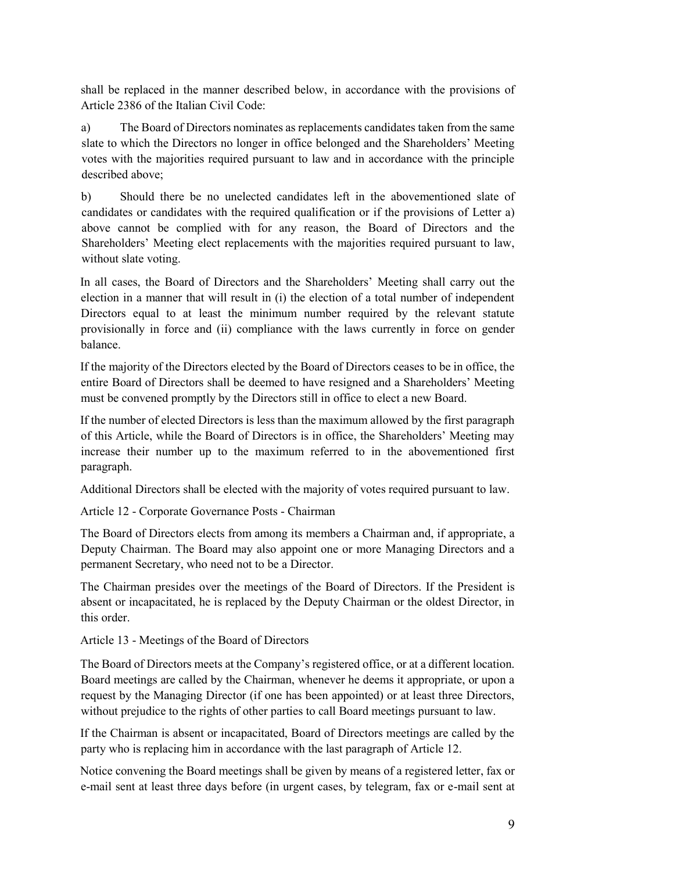shall be replaced in the manner described below, in accordance with the provisions of Article 2386 of the Italian Civil Code:

a) The Board of Directors nominates as replacements candidates taken from the same slate to which the Directors no longer in office belonged and the Shareholders' Meeting votes with the majorities required pursuant to law and in accordance with the principle described above;

b) Should there be no unelected candidates left in the abovementioned slate of candidates or candidates with the required qualification or if the provisions of Letter a) above cannot be complied with for any reason, the Board of Directors and the Shareholders' Meeting elect replacements with the majorities required pursuant to law, without slate voting.

In all cases, the Board of Directors and the Shareholders' Meeting shall carry out the election in a manner that will result in (i) the election of a total number of independent Directors equal to at least the minimum number required by the relevant statute provisionally in force and (ii) compliance with the laws currently in force on gender balance.

If the majority of the Directors elected by the Board of Directors ceases to be in office, the entire Board of Directors shall be deemed to have resigned and a Shareholders' Meeting must be convened promptly by the Directors still in office to elect a new Board.

If the number of elected Directors is less than the maximum allowed by the first paragraph of this Article, while the Board of Directors is in office, the Shareholders' Meeting may increase their number up to the maximum referred to in the abovementioned first paragraph.

Additional Directors shall be elected with the majority of votes required pursuant to law.

Article 12 - Corporate Governance Posts - Chairman

The Board of Directors elects from among its members a Chairman and, if appropriate, a Deputy Chairman. The Board may also appoint one or more Managing Directors and a permanent Secretary, who need not to be a Director.

The Chairman presides over the meetings of the Board of Directors. If the President is absent or incapacitated, he is replaced by the Deputy Chairman or the oldest Director, in this order.

Article 13 - Meetings of the Board of Directors

The Board of Directors meets at the Company's registered office, or at a different location. Board meetings are called by the Chairman, whenever he deems it appropriate, or upon a request by the Managing Director (if one has been appointed) or at least three Directors, without prejudice to the rights of other parties to call Board meetings pursuant to law.

If the Chairman is absent or incapacitated, Board of Directors meetings are called by the party who is replacing him in accordance with the last paragraph of Article 12.

Notice convening the Board meetings shall be given by means of a registered letter, fax or e-mail sent at least three days before (in urgent cases, by telegram, fax or e-mail sent at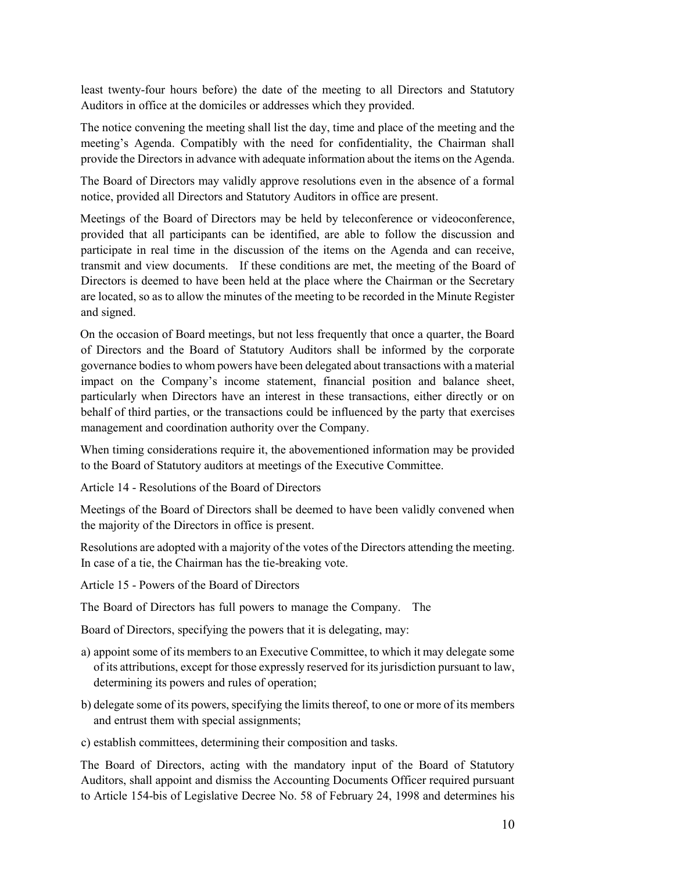least twenty-four hours before) the date of the meeting to all Directors and Statutory Auditors in office at the domiciles or addresses which they provided.

The notice convening the meeting shall list the day, time and place of the meeting and the meeting's Agenda. Compatibly with the need for confidentiality, the Chairman shall provide the Directors in advance with adequate information about the items on the Agenda.

The Board of Directors may validly approve resolutions even in the absence of a formal notice, provided all Directors and Statutory Auditors in office are present.

Meetings of the Board of Directors may be held by teleconference or videoconference, provided that all participants can be identified, are able to follow the discussion and participate in real time in the discussion of the items on the Agenda and can receive, transmit and view documents. If these conditions are met, the meeting of the Board of Directors is deemed to have been held at the place where the Chairman or the Secretary are located, so as to allow the minutes of the meeting to be recorded in the Minute Register and signed.

On the occasion of Board meetings, but not less frequently that once a quarter, the Board of Directors and the Board of Statutory Auditors shall be informed by the corporate governance bodies to whom powers have been delegated about transactions with a material impact on the Company's income statement, financial position and balance sheet, particularly when Directors have an interest in these transactions, either directly or on behalf of third parties, or the transactions could be influenced by the party that exercises management and coordination authority over the Company.

When timing considerations require it, the abovementioned information may be provided to the Board of Statutory auditors at meetings of the Executive Committee.

Article 14 - Resolutions of the Board of Directors

Meetings of the Board of Directors shall be deemed to have been validly convened when the majority of the Directors in office is present.

Resolutions are adopted with a majority of the votes of the Directors attending the meeting. In case of a tie, the Chairman has the tie-breaking vote.

Article 15 - Powers of the Board of Directors

The Board of Directors has full powers to manage the Company. The

Board of Directors, specifying the powers that it is delegating, may:

- a) appoint some of its members to an Executive Committee, to which it may delegate some of its attributions, except for those expressly reserved for its jurisdiction pursuant to law, determining its powers and rules of operation;
- b) delegate some of its powers, specifying the limits thereof, to one or more of its members and entrust them with special assignments;
- c) establish committees, determining their composition and tasks.

The Board of Directors, acting with the mandatory input of the Board of Statutory Auditors, shall appoint and dismiss the Accounting Documents Officer required pursuant to Article 154-bis of Legislative Decree No. 58 of February 24, 1998 and determines his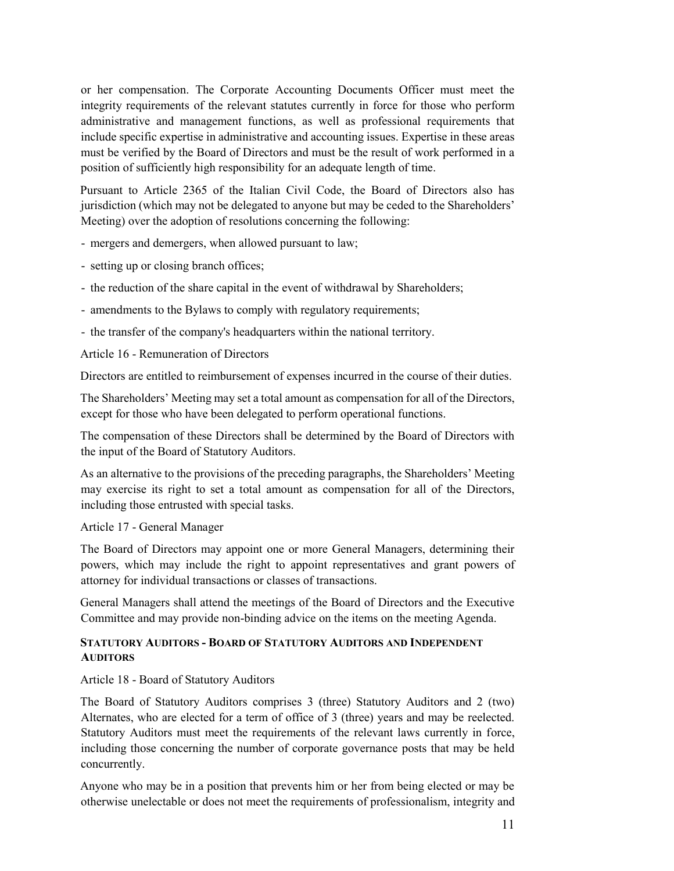or her compensation. The Corporate Accounting Documents Officer must meet the integrity requirements of the relevant statutes currently in force for those who perform administrative and management functions, as well as professional requirements that include specific expertise in administrative and accounting issues. Expertise in these areas must be verified by the Board of Directors and must be the result of work performed in a position of sufficiently high responsibility for an adequate length of time.

Pursuant to Article 2365 of the Italian Civil Code, the Board of Directors also has jurisdiction (which may not be delegated to anyone but may be ceded to the Shareholders' Meeting) over the adoption of resolutions concerning the following:

- mergers and demergers, when allowed pursuant to law;

- setting up or closing branch offices;

- the reduction of the share capital in the event of withdrawal by Shareholders;

- amendments to the Bylaws to comply with regulatory requirements;

- the transfer of the company's headquarters within the national territory.

Article 16 - Remuneration of Directors

Directors are entitled to reimbursement of expenses incurred in the course of their duties.

The Shareholders' Meeting may set a total amount as compensation for all of the Directors, except for those who have been delegated to perform operational functions.

The compensation of these Directors shall be determined by the Board of Directors with the input of the Board of Statutory Auditors.

As an alternative to the provisions of the preceding paragraphs, the Shareholders' Meeting may exercise its right to set a total amount as compensation for all of the Directors, including those entrusted with special tasks.

Article 17 - General Manager

The Board of Directors may appoint one or more General Managers, determining their powers, which may include the right to appoint representatives and grant powers of attorney for individual transactions or classes of transactions.

General Managers shall attend the meetings of the Board of Directors and the Executive Committee and may provide non-binding advice on the items on the meeting Agenda.

#### **STATUTORY AUDITORS - BOARD OF STATUTORY AUDITORS AND INDEPENDENT AUDITORS**

Article 18 - Board of Statutory Auditors

The Board of Statutory Auditors comprises 3 (three) Statutory Auditors and 2 (two) Alternates, who are elected for a term of office of 3 (three) years and may be reelected. Statutory Auditors must meet the requirements of the relevant laws currently in force, including those concerning the number of corporate governance posts that may be held concurrently.

Anyone who may be in a position that prevents him or her from being elected or may be otherwise unelectable or does not meet the requirements of professionalism, integrity and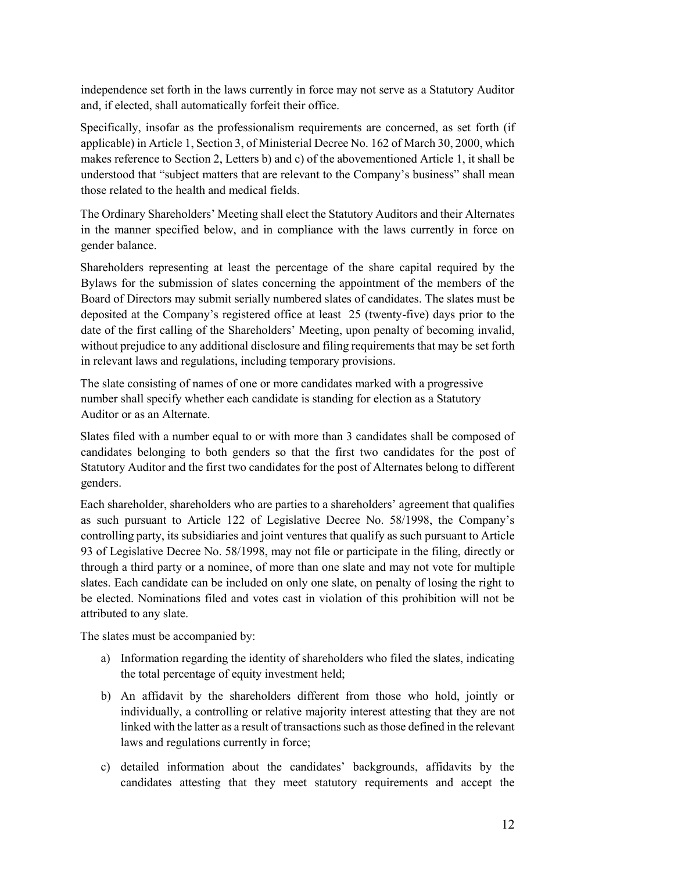independence set forth in the laws currently in force may not serve as a Statutory Auditor and, if elected, shall automatically forfeit their office.

Specifically, insofar as the professionalism requirements are concerned, as set forth (if applicable) in Article 1, Section 3, of Ministerial Decree No. 162 of March 30, 2000, which makes reference to Section 2, Letters b) and c) of the abovementioned Article 1, it shall be understood that "subject matters that are relevant to the Company's business" shall mean those related to the health and medical fields.

The Ordinary Shareholders' Meeting shall elect the Statutory Auditors and their Alternates in the manner specified below, and in compliance with the laws currently in force on gender balance.

Shareholders representing at least the percentage of the share capital required by the Bylaws for the submission of slates concerning the appointment of the members of the Board of Directors may submit serially numbered slates of candidates. The slates must be deposited at the Company's registered office at least 25 (twenty-five) days prior to the date of the first calling of the Shareholders' Meeting, upon penalty of becoming invalid, without prejudice to any additional disclosure and filing requirements that may be set forth in relevant laws and regulations, including temporary provisions.

The slate consisting of names of one or more candidates marked with a progressive number shall specify whether each candidate is standing for election as a Statutory Auditor or as an Alternate.

Slates filed with a number equal to or with more than 3 candidates shall be composed of candidates belonging to both genders so that the first two candidates for the post of Statutory Auditor and the first two candidates for the post of Alternates belong to different genders.

Each shareholder, shareholders who are parties to a shareholders' agreement that qualifies as such pursuant to Article 122 of Legislative Decree No. 58/1998, the Company's controlling party, its subsidiaries and joint ventures that qualify as such pursuant to Article 93 of Legislative Decree No. 58/1998, may not file or participate in the filing, directly or through a third party or a nominee, of more than one slate and may not vote for multiple slates. Each candidate can be included on only one slate, on penalty of losing the right to be elected. Nominations filed and votes cast in violation of this prohibition will not be attributed to any slate.

The slates must be accompanied by:

- a) Information regarding the identity of shareholders who filed the slates, indicating the total percentage of equity investment held;
- b) An affidavit by the shareholders different from those who hold, jointly or individually, a controlling or relative majority interest attesting that they are not linked with the latter as a result of transactions such as those defined in the relevant laws and regulations currently in force;
- c) detailed information about the candidates' backgrounds, affidavits by the candidates attesting that they meet statutory requirements and accept the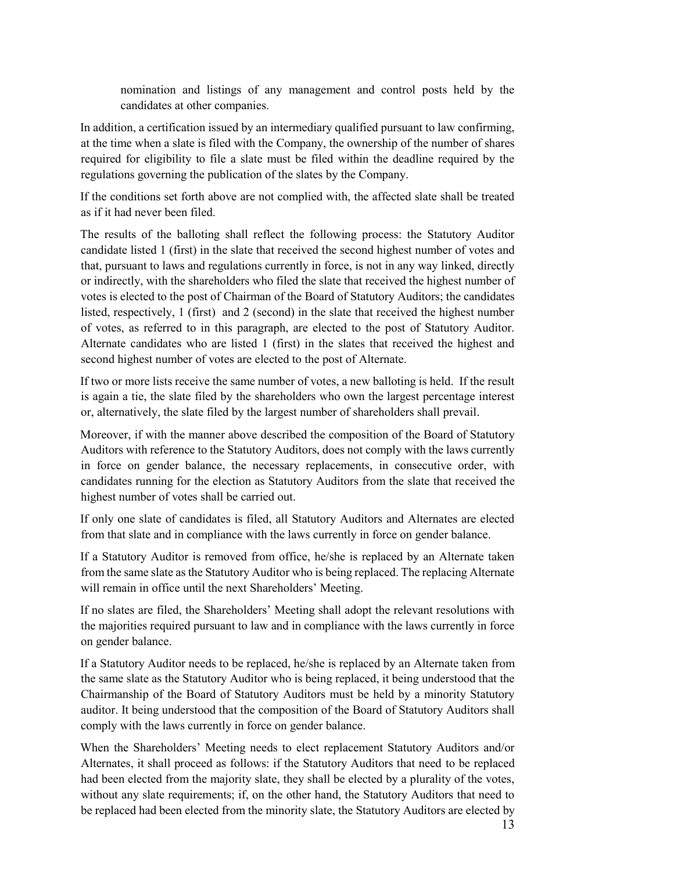nomination and listings of any management and control posts held by the candidates at other companies.

In addition, a certification issued by an intermediary qualified pursuant to law confirming, at the time when a slate is filed with the Company, the ownership of the number of shares required for eligibility to file a slate must be filed within the deadline required by the regulations governing the publication of the slates by the Company.

If the conditions set forth above are not complied with, the affected slate shall be treated as if it had never been filed.

The results of the balloting shall reflect the following process: the Statutory Auditor candidate listed 1 (first) in the slate that received the second highest number of votes and that, pursuant to laws and regulations currently in force, is not in any way linked, directly or indirectly, with the shareholders who filed the slate that received the highest number of votes is elected to the post of Chairman of the Board of Statutory Auditors; the candidates listed, respectively, 1 (first) and 2 (second) in the slate that received the highest number of votes, as referred to in this paragraph, are elected to the post of Statutory Auditor. Alternate candidates who are listed 1 (first) in the slates that received the highest and second highest number of votes are elected to the post of Alternate.

If two or more lists receive the same number of votes, a new balloting is held. If the result is again a tie, the slate filed by the shareholders who own the largest percentage interest or, alternatively, the slate filed by the largest number of shareholders shall prevail.

Moreover, if with the manner above described the composition of the Board of Statutory Auditors with reference to the Statutory Auditors, does not comply with the laws currently in force on gender balance, the necessary replacements, in consecutive order, with candidates running for the election as Statutory Auditors from the slate that received the highest number of votes shall be carried out.

If only one slate of candidates is filed, all Statutory Auditors and Alternates are elected from that slate and in compliance with the laws currently in force on gender balance.

If a Statutory Auditor is removed from office, he/she is replaced by an Alternate taken from the same slate as the Statutory Auditor who is being replaced. The replacing Alternate will remain in office until the next Shareholders' Meeting.

If no slates are filed, the Shareholders' Meeting shall adopt the relevant resolutions with the majorities required pursuant to law and in compliance with the laws currently in force on gender balance.

If a Statutory Auditor needs to be replaced, he/she is replaced by an Alternate taken from the same slate as the Statutory Auditor who is being replaced, it being understood that the Chairmanship of the Board of Statutory Auditors must be held by a minority Statutory auditor. It being understood that the composition of the Board of Statutory Auditors shall comply with the laws currently in force on gender balance.

When the Shareholders' Meeting needs to elect replacement Statutory Auditors and/or Alternates, it shall proceed as follows: if the Statutory Auditors that need to be replaced had been elected from the majority slate, they shall be elected by a plurality of the votes, without any slate requirements; if, on the other hand, the Statutory Auditors that need to be replaced had been elected from the minority slate, the Statutory Auditors are elected by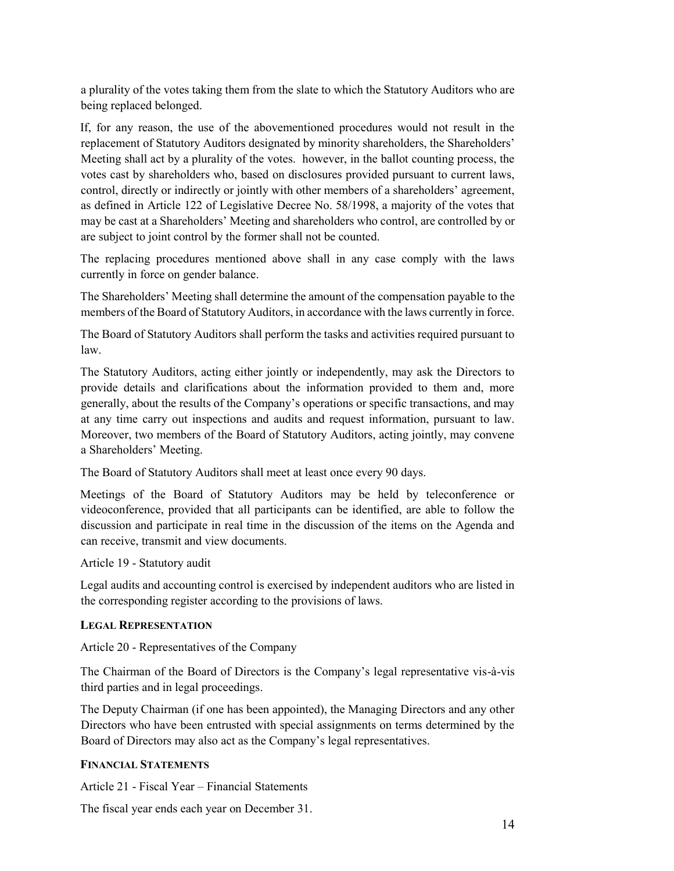a plurality of the votes taking them from the slate to which the Statutory Auditors who are being replaced belonged.

If, for any reason, the use of the abovementioned procedures would not result in the replacement of Statutory Auditors designated by minority shareholders, the Shareholders' Meeting shall act by a plurality of the votes. however, in the ballot counting process, the votes cast by shareholders who, based on disclosures provided pursuant to current laws, control, directly or indirectly or jointly with other members of a shareholders' agreement, as defined in Article 122 of Legislative Decree No. 58/1998, a majority of the votes that may be cast at a Shareholders' Meeting and shareholders who control, are controlled by or are subject to joint control by the former shall not be counted.

The replacing procedures mentioned above shall in any case comply with the laws currently in force on gender balance.

The Shareholders' Meeting shall determine the amount of the compensation payable to the members of the Board of Statutory Auditors, in accordance with the laws currently in force.

The Board of Statutory Auditors shall perform the tasks and activities required pursuant to law.

The Statutory Auditors, acting either jointly or independently, may ask the Directors to provide details and clarifications about the information provided to them and, more generally, about the results of the Company's operations or specific transactions, and may at any time carry out inspections and audits and request information, pursuant to law. Moreover, two members of the Board of Statutory Auditors, acting jointly, may convene a Shareholders' Meeting.

The Board of Statutory Auditors shall meet at least once every 90 days.

Meetings of the Board of Statutory Auditors may be held by teleconference or videoconference, provided that all participants can be identified, are able to follow the discussion and participate in real time in the discussion of the items on the Agenda and can receive, transmit and view documents.

Article 19 - Statutory audit

Legal audits and accounting control is exercised by independent auditors who are listed in the corresponding register according to the provisions of laws.

#### **LEGAL REPRESENTATION**

Article 20 - Representatives of the Company

The Chairman of the Board of Directors is the Company's legal representative vis-à-vis third parties and in legal proceedings.

The Deputy Chairman (if one has been appointed), the Managing Directors and any other Directors who have been entrusted with special assignments on terms determined by the Board of Directors may also act as the Company's legal representatives.

#### **FINANCIAL STATEMENTS**

Article 21 - Fiscal Year – Financial Statements

The fiscal year ends each year on December 31.